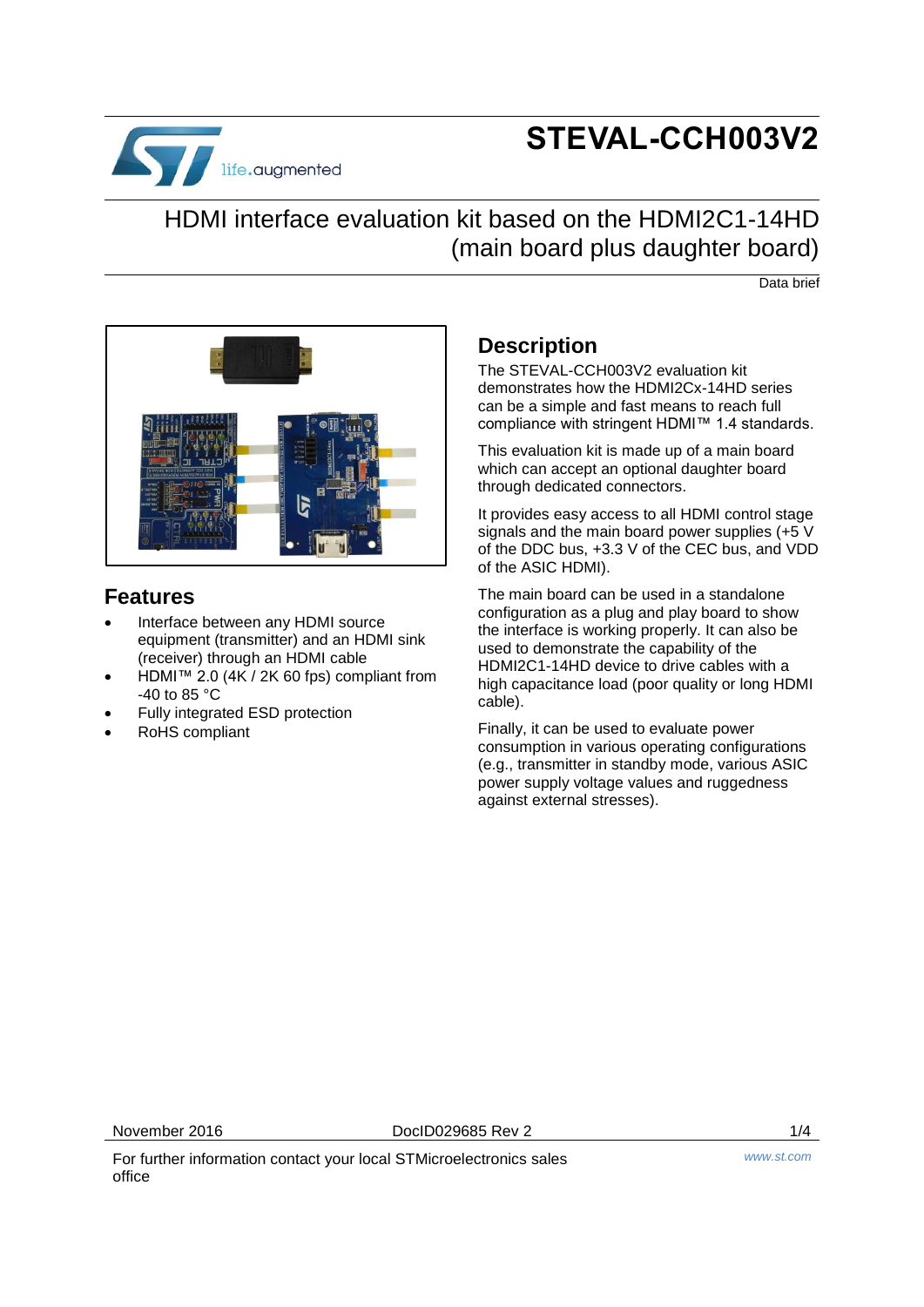# life.augmented

## **STEVAL-CCH003V2**

### HDMI interface evaluation kit based on the HDMI2C1-14HD (main board plus daughter board)

Data brief



#### **Features**

- Interface between any HDMI source equipment (transmitter) and an HDMI sink (receiver) through an HDMI cable
- HDMI™ 2.0 (4K / 2K 60 fps) compliant from -40 to 85 °C
- Fully integrated ESD protection
- RoHS compliant

#### **Description**

The STEVAL-CCH003V2 evaluation kit demonstrates how the HDMI2Cx-14HD series can be a simple and fast means to reach full compliance with stringent HDMI™ 1.4 standards.

This evaluation kit is made up of a main board which can accept an optional daughter board through dedicated connectors.

It provides easy access to all HDMI control stage signals and the main board power supplies (+5 V of the DDC bus, +3.3 V of the CEC bus, and VDD of the ASIC HDMI).

The main board can be used in a standalone configuration as a plug and play board to show the interface is working properly. It can also be used to demonstrate the capability of the HDMI2C1-14HD device to drive cables with a high capacitance load (poor quality or long HDMI cable).

Finally, it can be used to evaluate power consumption in various operating configurations (e.g., transmitter in standby mode, various ASIC power supply voltage values and ruggedness against external stresses).

November 2016 DocID029685 Rev 2 1/4

For further information contact your local STMicroelectronics sales office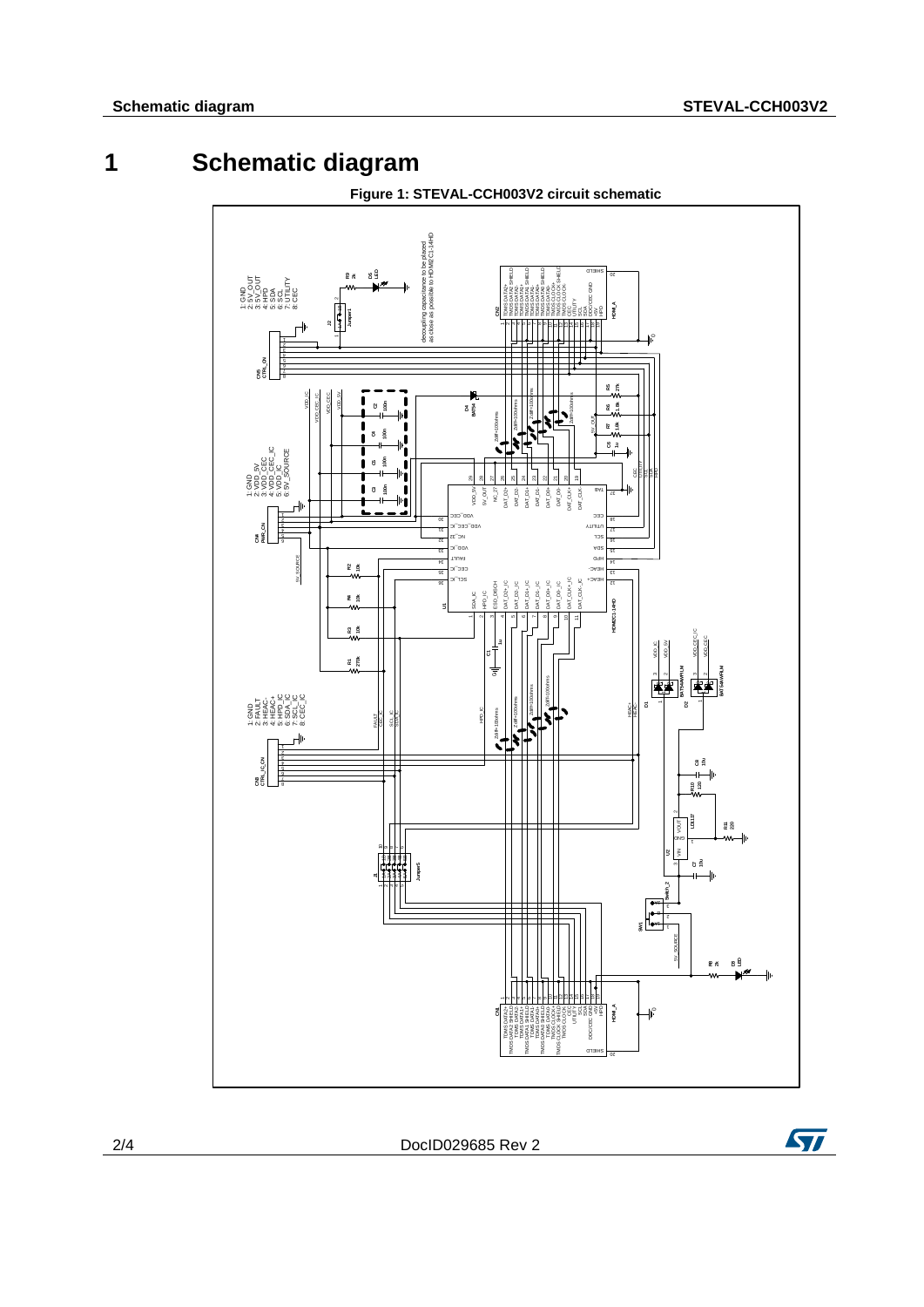#### **1 Schematic diagram**



2/4 DocID029685 Rev 2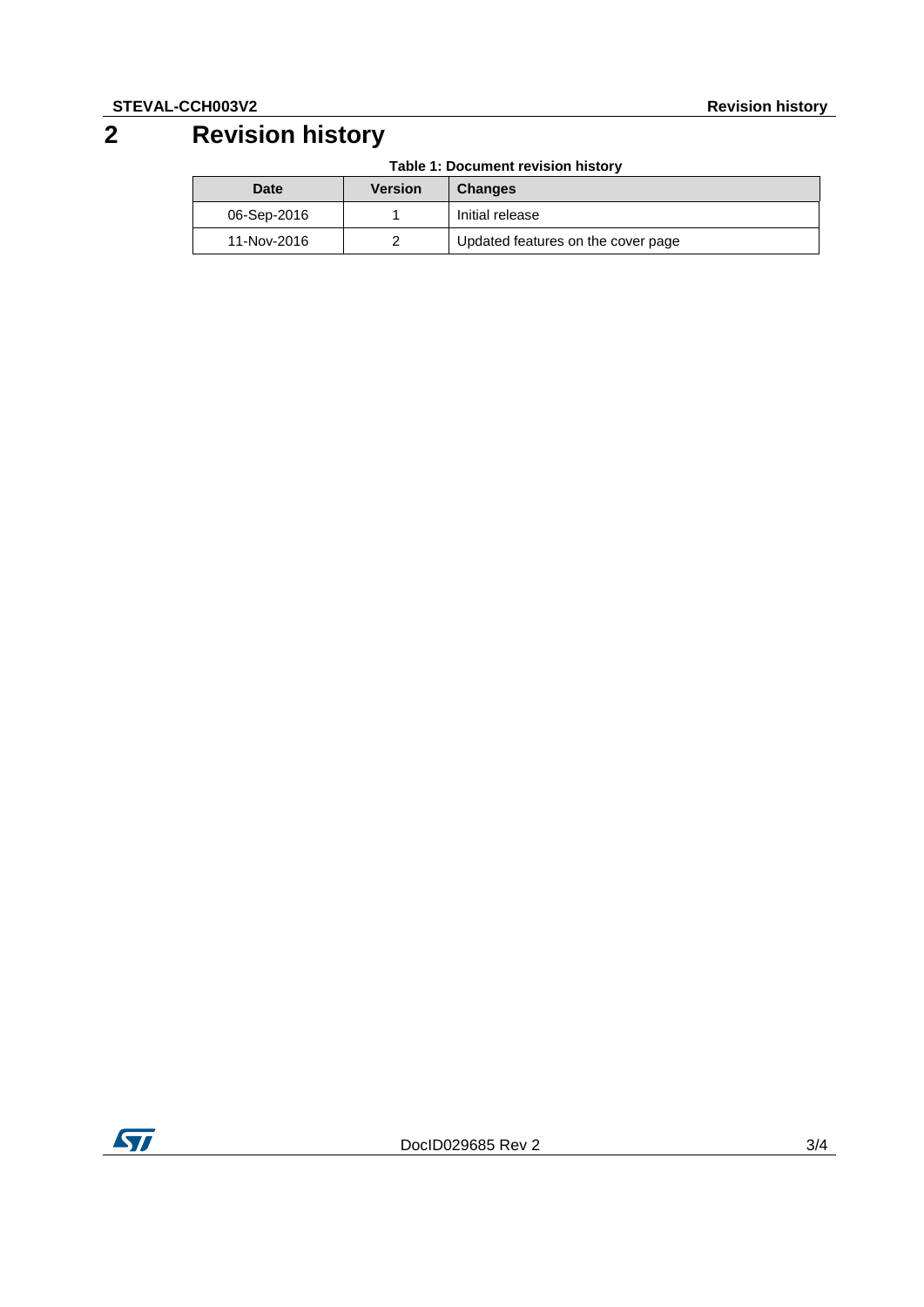## **2 Revision history**

| Table 1: Document revision history |  |
|------------------------------------|--|
|------------------------------------|--|

| Date        | Version | <b>Changes</b>                     |
|-------------|---------|------------------------------------|
| 06-Sep-2016 |         | Initial release                    |
| 11-Nov-2016 |         | Updated features on the cover page |